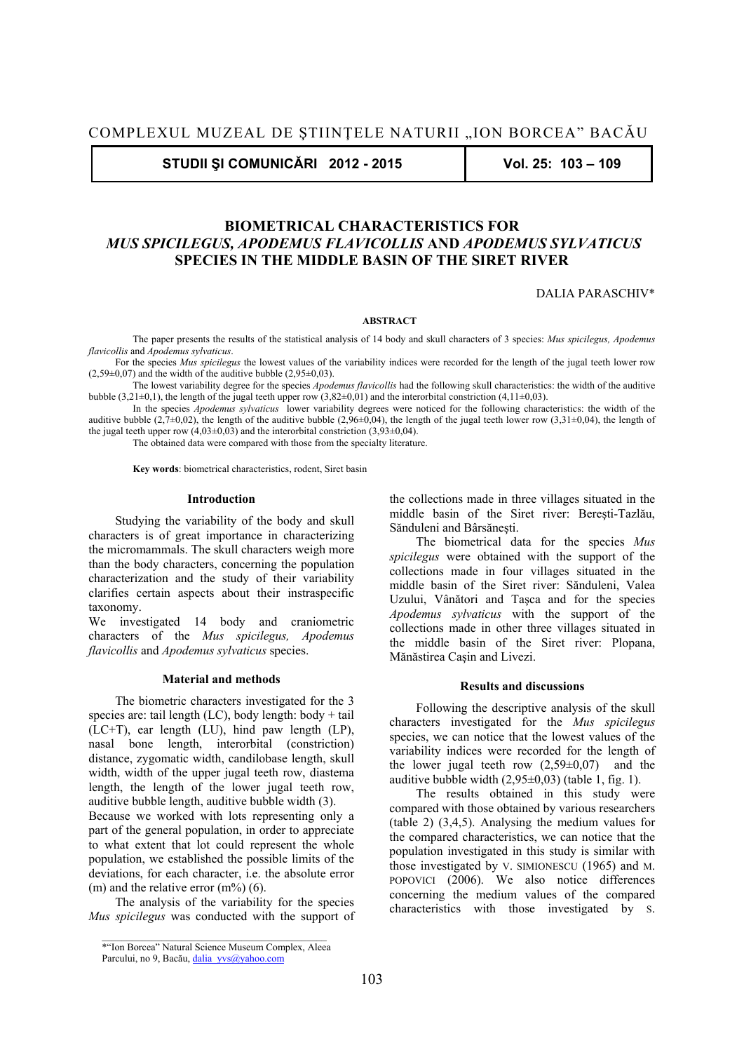**STUDII ŞI COMUNICĂRI 2012 - 2015 Vol. 25: 103 – 109** 

# **BIOMETRICAL CHARACTERISTICS FOR**   *MUS SPICILEGUS, APODEMUS FLAVICOLLIS* **AND** *APODEMUS SYLVATICUS* **SPECIES IN THE MIDDLE BASIN OF THE SIRET RIVER**

DALIA PARASCHIV\*

#### **ABSTRACT**

 The paper presents the results of the statistical analysis of 14 body and skull characters of 3 species: *Mus spicilegus, Apodemus flavicollis* and *Apodemus sylvaticus*.

For the species *Mus spicilegus* the lowest values of the variability indices were recorded for the length of the jugal teeth lower row  $(2,59\pm0,07)$  and the width of the auditive bubble  $(2,95\pm0,03)$ .

 The lowest variability degree for the species *Apodemus flavicollis* had the following skull characteristics: the width of the auditive bubble  $(3.21\pm0.1)$ , the length of the jugal teeth upper row  $(3.82\pm0.01)$  and the interorbital constriction (4,11 $\pm$ 0,03).

 In the species *Apodemus sylvaticus* lower variability degrees were noticed for the following characteristics: the width of the auditive bubble (2,7±0,02), the length of the auditive bubble (2,96±0,04), the length of the jugal teeth lower row (3,31±0,04), the length of the jugal teeth upper row  $(4,03\pm0,03)$  and the interorbital constriction  $(3,93\pm0,04)$ .

The obtained data were compared with those from the specialty literature.

 **Key words**: biometrical characteristics, rodent, Siret basin

## **Introduction**

Studying the variability of the body and skull characters is of great importance in characterizing the micromammals. The skull characters weigh more than the body characters, concerning the population characterization and the study of their variability clarifies certain aspects about their instraspecific taxonomy.

We investigated 14 body and craniometric characters of the *Mus spicilegus, Apodemus flavicollis* and *Apodemus sylvaticus* species.

### **Material and methods**

The biometric characters investigated for the 3 species are: tail length  $(LC)$ , body length: body + tail (LC+T), ear length (LU), hind paw length (LP), nasal bone length, interorbital (constriction) distance, zygomatic width, candilobase length, skull width, width of the upper jugal teeth row, diastema length, the length of the lower jugal teeth row, auditive bubble length, auditive bubble width (3).

Because we worked with lots representing only a part of the general population, in order to appreciate to what extent that lot could represent the whole population, we established the possible limits of the deviations, for each character, i.e. the absolute error (m) and the relative error  $(m\%)$  (6).

The analysis of the variability for the species *Mus spicilegus* was conducted with the support of the collections made in three villages situated in the middle basin of the Siret river: Bereşti-Tazlău, Sănduleni and Bârsăneşti.

The biometrical data for the species *Mus spicilegus* were obtained with the support of the collections made in four villages situated in the middle basin of the Siret river: Sănduleni, Valea Uzului, Vânători and Taşca and for the species *Apodemus sylvaticus* with the support of the collections made in other three villages situated in the middle basin of the Siret river: Plopana, Mănăstirea Caşin and Livezi.

#### **Results and discussions**

Following the descriptive analysis of the skull characters investigated for the *Mus spicilegus* species, we can notice that the lowest values of the variability indices were recorded for the length of the lower jugal teeth row  $(2,59\pm0,07)$  and the auditive bubble width  $(2,95\pm0,03)$  (table 1, fig. 1).

The results obtained in this study were compared with those obtained by various researchers (table 2) (3,4,5). Analysing the medium values for the compared characteristics, we can notice that the population investigated in this study is similar with those investigated by V. SIMIONESCU (1965) and M. POPOVICI (2006). We also notice differences concerning the medium values of the compared characteristics with those investigated by S.

<sup>\*&</sup>quot;Ion Borcea" Natural Science Museum Complex, Aleea

Parcului, no 9, Bacău, dalia yvs@yahoo.com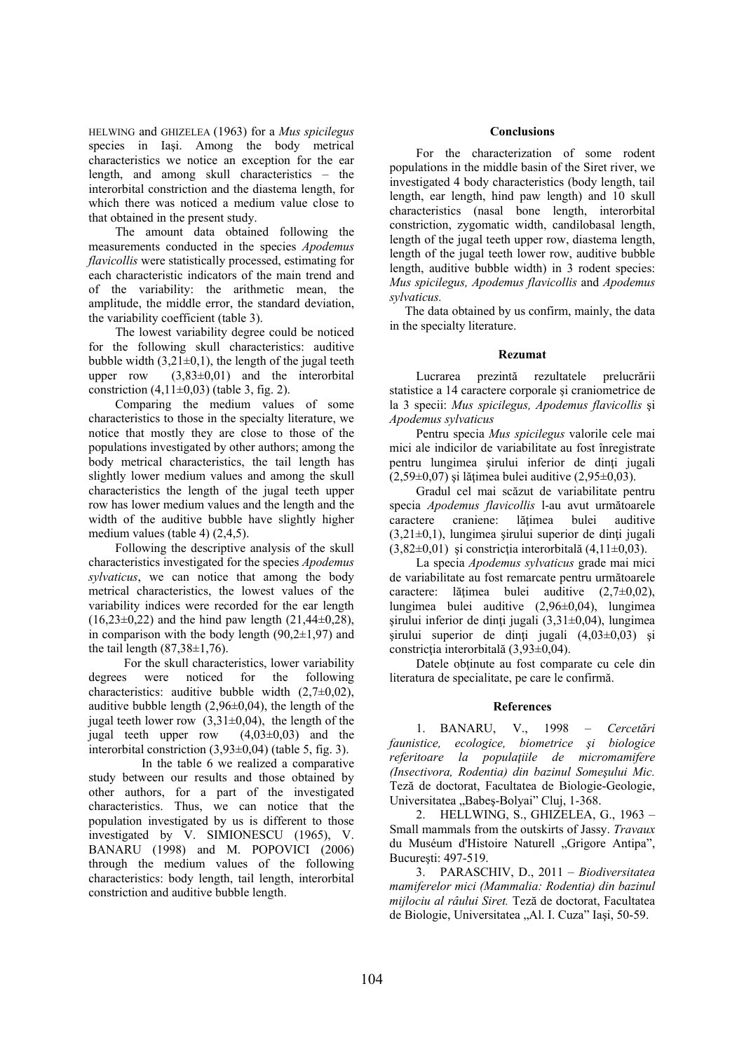HELWING and GHIZELEA (1963) for a *Mus spicilegus*  species in Iasi. Among the body metrical characteristics we notice an exception for the ear length, and among skull characteristics – the interorbital constriction and the diastema length, for which there was noticed a medium value close to that obtained in the present study.

The amount data obtained following the measurements conducted in the species *Apodemus flavicollis* were statistically processed, estimating for each characteristic indicators of the main trend and of the variability: the arithmetic mean, the amplitude, the middle error, the standard deviation, the variability coefficient (table 3).

The lowest variability degree could be noticed for the following skull characteristics: auditive bubble width  $(3,21\pm0,1)$ , the length of the jugal teeth upper row  $(3.83\pm0.01)$  and the interorbital constriction  $(4,11\pm0,03)$  (table 3, fig. 2).

Comparing the medium values of some characteristics to those in the specialty literature, we notice that mostly they are close to those of the populations investigated by other authors; among the body metrical characteristics, the tail length has slightly lower medium values and among the skull characteristics the length of the jugal teeth upper row has lower medium values and the length and the width of the auditive bubble have slightly higher medium values (table 4) (2,4,5).

Following the descriptive analysis of the skull characteristics investigated for the species *Apodemus sylvaticus*, we can notice that among the body metrical characteristics, the lowest values of the variability indices were recorded for the ear length  $(16,23\pm0,22)$  and the hind paw length  $(21,44\pm0,28)$ , in comparison with the body length  $(90,2\pm 1,97)$  and the tail length  $(87,38\pm1,76)$ .

For the skull characteristics, lower variability degrees were noticed for the following characteristics: auditive bubble width  $(2.7\pm0.02)$ , auditive bubble length  $(2,96\pm0,04)$ , the length of the jugal teeth lower row  $(3,31\pm0,04)$ , the length of the jugal teeth upper row  $(4,03\pm0,03)$  and the interorbital constriction (3,93±0,04) (table 5, fig. 3).

 In the table 6 we realized a comparative study between our results and those obtained by other authors, for a part of the investigated characteristics. Thus, we can notice that the population investigated by us is different to those investigated by V. SIMIONESCU (1965), V. BANARU (1998) and M. POPOVICI (2006) through the medium values of the following characteristics: body length, tail length, interorbital constriction and auditive bubble length.

## **Conclusions**

 For the characterization of some rodent populations in the middle basin of the Siret river, we investigated 4 body characteristics (body length, tail length, ear length, hind paw length) and 10 skull characteristics (nasal bone length, interorbital constriction, zygomatic width, candilobasal length, length of the jugal teeth upper row, diastema length, length of the jugal teeth lower row, auditive bubble length, auditive bubble width) in 3 rodent species: *Mus spicilegus, Apodemus flavicollis* and *Apodemus sylvaticus.*

 The data obtained by us confirm, mainly, the data in the specialty literature.

## **Rezumat**

Lucrarea prezintă rezultatele prelucrării statistice a 14 caractere corporale si craniometrice de la 3 specii: *Mus spicilegus, Apodemus flavicollis* şi *Apodemus sylvaticus*

Pentru specia *Mus spicilegus* valorile cele mai mici ale indicilor de variabilitate au fost înregistrate pentru lungimea sirului inferior de dinți jugali  $(2.59\pm0.07)$  si lătimea bulei auditive  $(2.95\pm0.03)$ .

Gradul cel mai scăzut de variabilitate pentru specia *Apodemus flavicollis* l-au avut următoarele caractere craniene: lătimea bulei auditive  $(3,21\pm0,1)$ , lungimea şirului superior de dinți jugali  $(3,82\pm0,01)$  și constricția interorbitală  $(4,11\pm0,03)$ .

La specia *Apodemus sylvaticus* grade mai mici de variabilitate au fost remarcate pentru următoarele caractere: lăţimea bulei auditive (2,7±0,02), lungimea bulei auditive (2,96±0,04), lungimea şirului inferior de dinți jugali  $(3,31\pm0,04)$ , lungimea sirului superior de dinți jugali  $(4.03\pm0.03)$  si constricţia interorbitală (3,93±0,04).

Datele obtinute au fost comparate cu cele din literatura de specialitate, pe care le confirmă.

## **References**

1. BANARU, V., 1998 – *Cercetări faunistice, ecologice, biometrice şi biologice referitoare la populaţiile de micromamifere (Insectivora, Rodentia) din bazinul Someşului Mic.* Teză de doctorat, Facultatea de Biologie-Geologie, Universitatea "Babeş-Bolyai" Cluj, 1-368.

2. HELLWING, S., GHIZELEA, G., 1963 – Small mammals from the outskirts of Jassy. *Travaux* du Muséum d'Histoire Naturell "Grigore Antipa", Bucureşti: 497-519.

3. PARASCHIV, D., 2011 – *Biodiversitatea mamiferelor mici (Mammalia: Rodentia) din bazinul mijlociu al râului Siret.* Teză de doctorat, Facultatea de Biologie, Universitatea ..Al. I. Cuza" Iasi, 50-59.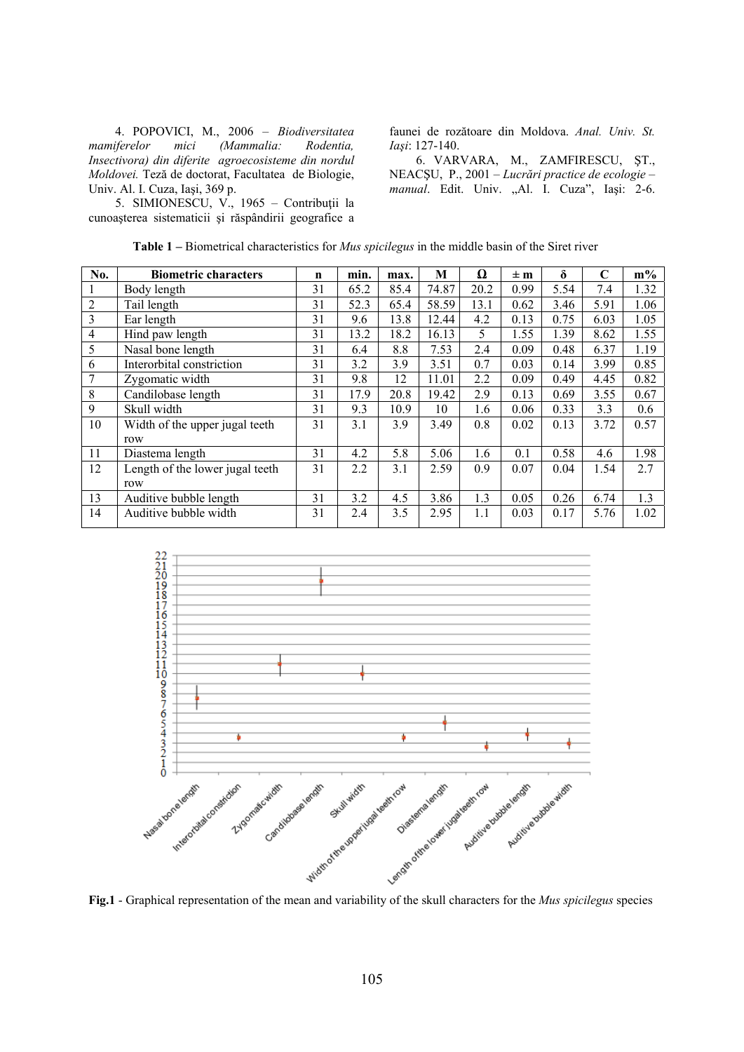4. POPOVICI, M., 2006 – *Biodiversitatea mamiferelor mici (Mammalia: Rodentia, Insectivora) din diferite agroecosisteme din nordul Moldovei.* Teză de doctorat, Facultatea de Biologie, Univ. Al. I. Cuza, Iaşi, 369 p.

5. SIMIONESCU, V., 1965 – Contribuţii la cunoaşterea sistematicii şi răspândirii geografice a faunei de rozătoare din Moldova. *Anal. Univ. St. Iaşi*: 127-140.

6. VARVARA, M., ZAMFIRESCU, ŞT., NEACŞU, P., 2001 – *Lucrări practice de ecologie –*  manual. Edit. Univ. "Al. I. Cuza", Iași: 2-6.

| No.            | <b>Biometric characters</b>     | $\mathbf n$ | min. | max. | M     | Ω    | $\pm m$ | $\delta$ | C    | $m\%$ |
|----------------|---------------------------------|-------------|------|------|-------|------|---------|----------|------|-------|
|                | Body length                     | 31          | 65.2 | 85.4 | 74.87 | 20.2 | 0.99    | 5.54     | 7.4  | 1.32  |
| 2              | Tail length                     | 31          | 52.3 | 65.4 | 58.59 | 13.1 | 0.62    | 3.46     | 5.91 | 1.06  |
| 3              | Ear length                      | 31          | 9.6  | 13.8 | 12.44 | 4.2  | 0.13    | 0.75     | 6.03 | 1.05  |
| $\overline{4}$ | Hind paw length                 | 31          | 13.2 | 18.2 | 16.13 | 5    | 1.55    | 1.39     | 8.62 | 1.55  |
| 5              | Nasal bone length               | 31          | 6.4  | 8.8  | 7.53  | 2.4  | 0.09    | 0.48     | 6.37 | 1.19  |
| 6              | Interorbital constriction       | 31          | 3.2  | 3.9  | 3.51  | 0.7  | 0.03    | 0.14     | 3.99 | 0.85  |
| 7              | Zygomatic width                 | 31          | 9.8  | 12   | 11.01 | 2.2  | 0.09    | 0.49     | 4.45 | 0.82  |
| 8              | Candilobase length              | 31          | 17.9 | 20.8 | 19.42 | 2.9  | 0.13    | 0.69     | 3.55 | 0.67  |
| 9              | Skull width                     | 31          | 9.3  | 10.9 | 10    | 1.6  | 0.06    | 0.33     | 3.3  | 0.6   |
| 10             | Width of the upper jugal teeth  | 31          | 3.1  | 3.9  | 3.49  | 0.8  | 0.02    | 0.13     | 3.72 | 0.57  |
|                | row                             |             |      |      |       |      |         |          |      |       |
| 11             | Diastema length                 | 31          | 4.2  | 5.8  | 5.06  | 1.6  | 0.1     | 0.58     | 4.6  | 1.98  |
| 12             | Length of the lower jugal teeth | 31          | 2.2  | 3.1  | 2.59  | 0.9  | 0.07    | 0.04     | 1.54 | 2.7   |
|                | row                             |             |      |      |       |      |         |          |      |       |
| 13             | Auditive bubble length          | 31          | 3.2  | 4.5  | 3.86  | 1.3  | 0.05    | 0.26     | 6.74 | 1.3   |
| 14             | Auditive bubble width           | 31          | 2.4  | 3.5  | 2.95  | 1.1  | 0.03    | 0.17     | 5.76 | 1.02  |
|                |                                 |             |      |      |       |      |         |          |      |       |

**Table 1 –** Biometrical characteristics for *Mus spicilegus* in the middle basin of the Siret river

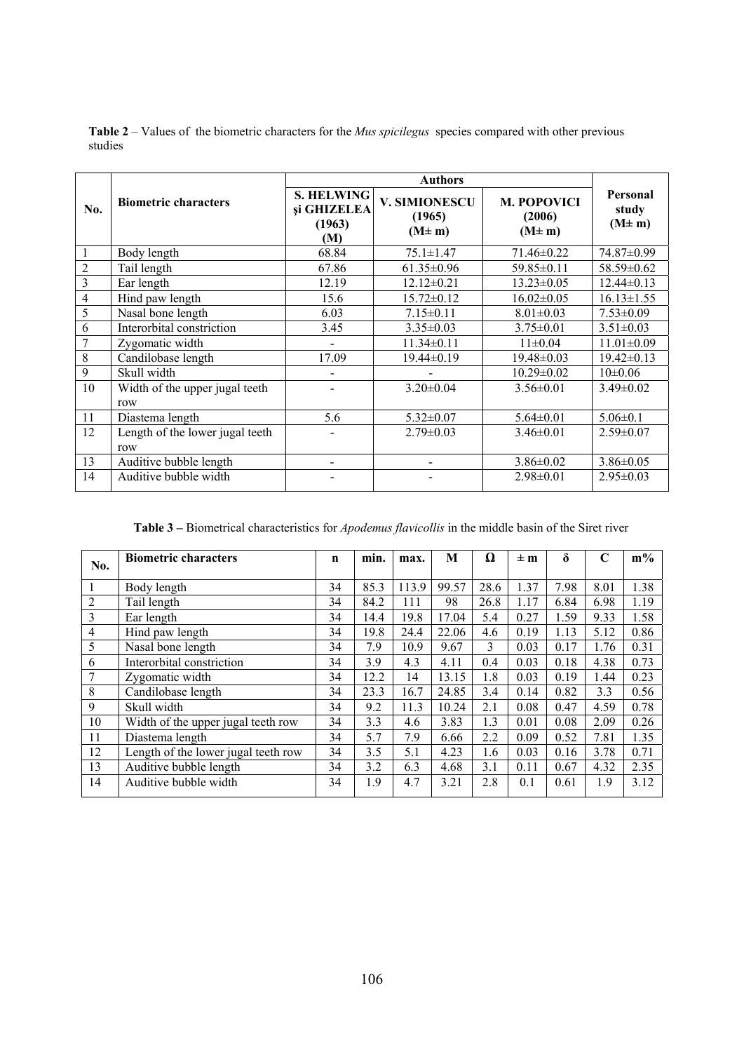| No.            | <b>Biometric characters</b>            | <b>S. HELWING</b><br>și GHIZELEA<br>(1963)<br>(M) | V. SIMIONESCU<br>(1965)<br>$(M \pm m)$ | <b>M. POPOVICI</b><br>(2006)<br>$(M \pm m)$ | Personal<br>study<br>$(M \pm m)$ |
|----------------|----------------------------------------|---------------------------------------------------|----------------------------------------|---------------------------------------------|----------------------------------|
| 1              | Body length                            | 68.84                                             | $75.1 \pm 1.47$                        | $71.46 \pm 0.22$                            | 74.87±0.99                       |
| $\overline{2}$ | Tail length                            | 67.86                                             | $61.35 \pm 0.96$                       | 59.85±0.11                                  | 58.59±0.62                       |
| 3              | Ear length                             | 12.19                                             | $12.12 \pm 0.21$                       | $13.23 \pm 0.05$                            | $12.44 \pm 0.13$                 |
| 4              | Hind paw length                        | 15.6                                              | $15.72 \pm 0.12$                       | $16.02 \pm 0.05$                            | $16.13 \pm 1.55$                 |
| 5              | Nasal bone length                      | 6.03                                              | $7.15 \pm 0.11$                        | $8.01 \pm 0.03$                             | $7.53 \pm 0.09$                  |
| 6              | Interorbital constriction              | 3.45                                              | $3.35 \pm 0.03$                        | $3.75 \pm 0.01$                             | $3.51 \pm 0.03$                  |
| 7              | Zygomatic width                        | -                                                 | $11.34 \pm 0.11$                       | $11\pm0.04$                                 | $11.01 \pm 0.09$                 |
| 8              | Candilobase length                     | 17.09                                             | $19.44 \pm 0.19$                       | $19.48 \pm 0.03$                            | $19.42 \pm 0.13$                 |
| 9              | Skull width                            |                                                   |                                        | $10.29 \pm 0.02$                            | $10\pm0.06$                      |
| 10             | Width of the upper jugal teeth<br>row  |                                                   | $3.20 \pm 0.04$                        | $3.56 \pm 0.01$                             | $3.49 \pm 0.02$                  |
| 11             | Diastema length                        | 5.6                                               | $5.32 \pm 0.07$                        | $5.64 \pm 0.01$                             | $5.06 \pm 0.1$                   |
| 12             | Length of the lower jugal teeth<br>row |                                                   | $2.79 \pm 0.03$                        | $3.46 \pm 0.01$                             | $2.59 \pm 0.07$                  |
| 13             | Auditive bubble length                 | $\overline{\phantom{a}}$                          |                                        | $3.86 \pm 0.02$                             | $3.86 \pm 0.05$                  |
| 14             | Auditive bubble width                  |                                                   |                                        | $2.98 \pm 0.01$                             | $2.95 \pm 0.03$                  |

**Table 2** – Values of the biometric characters for the *Mus spicilegus* species compared with other previous studies

**Table 3 –** Biometrical characteristics for *Apodemus flavicollis* in the middle basin of the Siret river

| No.            | <b>Biometric characters</b>         | n  | min. | max.  | M     | Ω    | $\pm m$ | δ    | C    | $m\%$ |
|----------------|-------------------------------------|----|------|-------|-------|------|---------|------|------|-------|
|                |                                     |    |      |       |       |      |         |      |      |       |
|                | Body length                         | 34 | 85.3 | 113.9 | 99.57 | 28.6 | 1.37    | 7.98 | 8.01 | 1.38  |
| $\overline{2}$ | Tail length                         | 34 | 84.2 | 111   | 98    | 26.8 | 1.17    | 6.84 | 6.98 | 1.19  |
| 3              | Ear length                          | 34 | 14.4 | 19.8  | 17.04 | 5.4  | 0.27    | 1.59 | 9.33 | 1.58  |
| 4              | Hind paw length                     | 34 | 19.8 | 24.4  | 22.06 | 4.6  | 0.19    | 1.13 | 5.12 | 0.86  |
| 5              | Nasal bone length                   | 34 | 7.9  | 10.9  | 9.67  | 3    | 0.03    | 0.17 | 1.76 | 0.31  |
| 6              | Interorbital constriction           | 34 | 3.9  | 4.3   | 4.11  | 0.4  | 0.03    | 0.18 | 4.38 | 0.73  |
| 7              | Zygomatic width                     | 34 | 12.2 | 14    | 13.15 | 1.8  | 0.03    | 0.19 | 1.44 | 0.23  |
| 8              | Candilobase length                  | 34 | 23.3 | 16.7  | 24.85 | 3.4  | 0.14    | 0.82 | 3.3  | 0.56  |
| 9              | Skull width                         | 34 | 9.2  | 11.3  | 10.24 | 2.1  | 0.08    | 0.47 | 4.59 | 0.78  |
| 10             | Width of the upper jugal teeth row  | 34 | 3.3  | 4.6   | 3.83  | 1.3  | 0.01    | 0.08 | 2.09 | 0.26  |
| 11             | Diastema length                     | 34 | 5.7  | 7.9   | 6.66  | 2.2  | 0.09    | 0.52 | 7.81 | 1.35  |
| 12             | Length of the lower jugal teeth row | 34 | 3.5  | 5.1   | 4.23  | 1.6  | 0.03    | 0.16 | 3.78 | 0.71  |
| 13             | Auditive bubble length              | 34 | 3.2  | 6.3   | 4.68  | 3.1  | 0.11    | 0.67 | 4.32 | 2.35  |
| 14             | Auditive bubble width               | 34 | 1.9  | 4.7   | 3.21  | 2.8  | 0.1     | 0.61 | 1.9  | 3.12  |
|                |                                     |    |      |       |       |      |         |      |      |       |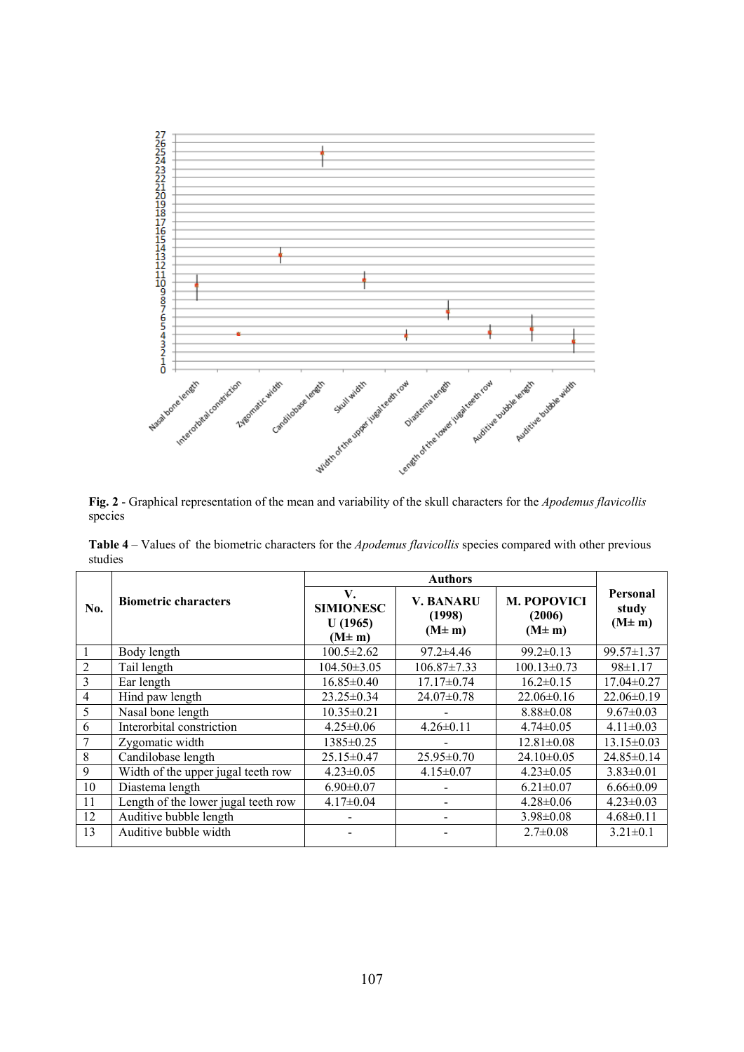

**Fig. 2** - Graphical representation of the mean and variability of the skull characters for the *Apodemus flavicollis* species

**Table 4** – Values of the biometric characters for the *Apodemus flavicollis* species compared with other previous studies

| No.            | <b>Biometric characters</b>         | V.<br><b>SIMIONESC</b><br>U(1965)<br>$(M \pm m)$ | <b>V. BANARU</b><br>(1998)<br>$(M \pm m)$ | <b>M. POPOVICI</b><br>(2006)<br>$(M \pm m)$ | Personal<br>study<br>$(M \pm m)$ |  |
|----------------|-------------------------------------|--------------------------------------------------|-------------------------------------------|---------------------------------------------|----------------------------------|--|
| 1              | Body length                         | $100.5 \pm 2.62$                                 | $97.2 \pm 4.46$                           | $99.2 \pm 0.13$                             | 99.57±1.37                       |  |
| $\overline{2}$ | Tail length                         | $104.50 \pm 3.05$                                | $106.87 \pm 7.33$                         | $100.13 \pm 0.73$                           | $98 \pm 1.17$                    |  |
| 3              | Ear length                          | $16.85 \pm 0.40$                                 | $17.17 \pm 0.74$                          | $16.2 \pm 0.15$                             | $17.04 \pm 0.27$                 |  |
| $\overline{4}$ | Hind paw length                     | $23.25 \pm 0.34$                                 | $24.07 \pm 0.78$                          | $22.06 \pm 0.16$                            | $22.06 \pm 0.19$                 |  |
| 5              | Nasal bone length                   | $10.35 \pm 0.21$                                 |                                           | $8.88 \pm 0.08$                             | $9.67 \pm 0.03$                  |  |
| 6              | Interorbital constriction           | $4.25 \pm 0.06$                                  | $4.26 \pm 0.11$                           | $4.74 \pm 0.05$                             | $4.11 \pm 0.03$                  |  |
| 7              | Zygomatic width                     | $1385 \pm 0.25$                                  |                                           | $12.81 \pm 0.08$                            | $13.15 \pm 0.03$                 |  |
| 8              | Candilobase length                  | $25.15 \pm 0.47$                                 | $25.95 \pm 0.70$                          | $24.10 \pm 0.05$                            | $24.85 \pm 0.14$                 |  |
| 9              | Width of the upper jugal teeth row  | $4.23 \pm 0.05$                                  | $4.15 \pm 0.07$                           | $4.23 \pm 0.05$                             | $3.83 \pm 0.01$                  |  |
| 10             | Diastema length                     | $6.90 \pm 0.07$                                  |                                           | $6.21 \pm 0.07$                             | $6.66 \pm 0.09$                  |  |
| 11             | Length of the lower jugal teeth row | $4.17 \pm 0.04$                                  |                                           | $4.28 \pm 0.06$                             | $4.23 \pm 0.03$                  |  |
| 12             | Auditive bubble length              |                                                  |                                           | $3.98 \pm 0.08$                             | $4.68 \pm 0.11$                  |  |
| 13             | Auditive bubble width               |                                                  |                                           | $2.7 \pm 0.08$                              | $3.21 \pm 0.1$                   |  |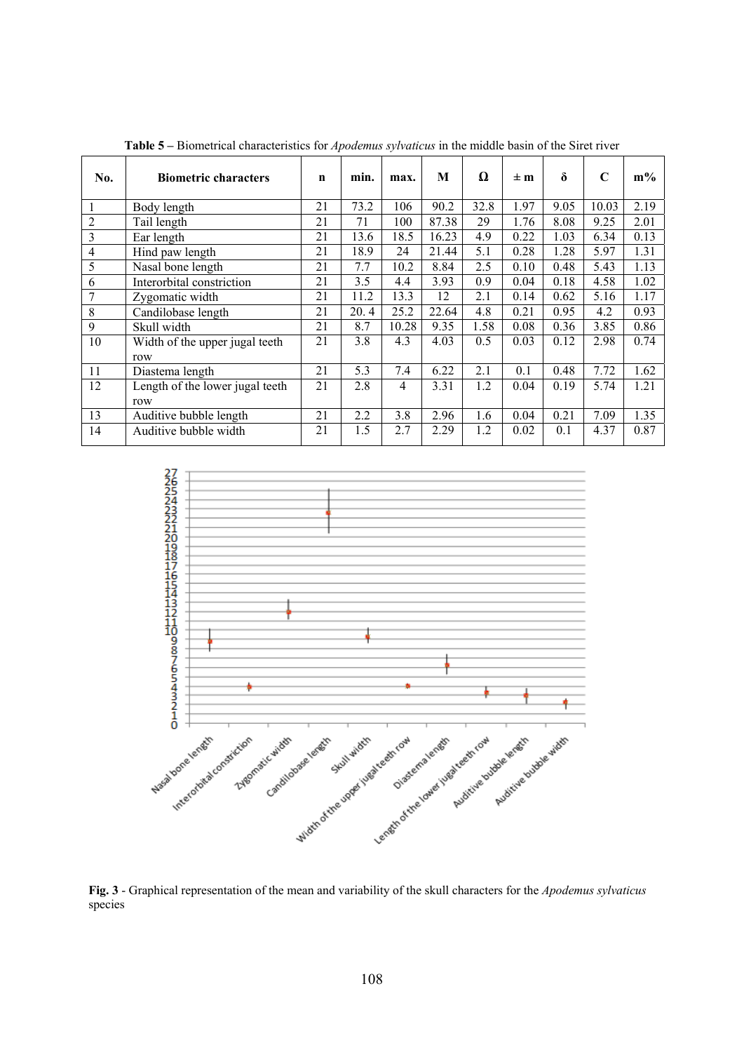| No.                      | <b>Biometric characters</b>            | n  | min. | max.  | M     | Ω    | $\pm m$ | $\delta$ | $\mathbf C$ | $m\%$ |
|--------------------------|----------------------------------------|----|------|-------|-------|------|---------|----------|-------------|-------|
| 1                        | Body length                            | 21 | 73.2 | 106   | 90.2  | 32.8 | 1.97    | 9.05     | 10.03       | 2.19  |
| 2                        | Tail length                            | 21 | 71   | 100   | 87.38 | 29   | 1.76    | 8.08     | 9.25        | 2.01  |
| 3                        | Ear length                             | 21 | 13.6 | 18.5  | 16.23 | 4.9  | 0.22    | 1.03     | 6.34        | 0.13  |
| $\overline{\mathcal{L}}$ | Hind paw length                        | 21 | 18.9 | 24    | 21.44 | 5.1  | 0.28    | 1.28     | 5.97        | 1.31  |
| 5                        | Nasal bone length                      | 21 | 7.7  | 10.2  | 8.84  | 2.5  | 0.10    | 0.48     | 5.43        | 1.13  |
| 6                        | Interorbital constriction              | 21 | 3.5  | 4.4   | 3.93  | 0.9  | 0.04    | 0.18     | 4.58        | 1.02  |
|                          | Zygomatic width                        | 21 | 11.2 | 13.3  | 12    | 2.1  | 0.14    | 0.62     | 5.16        | 1.17  |
| 8                        | Candilobase length                     | 21 | 20.4 | 25.2  | 22.64 | 4.8  | 0.21    | 0.95     | 4.2         | 0.93  |
| 9                        | Skull width                            | 21 | 8.7  | 10.28 | 9.35  | 1.58 | 0.08    | 0.36     | 3.85        | 0.86  |
| 10                       | Width of the upper jugal teeth<br>row  | 21 | 3.8  | 4.3   | 4.03  | 0.5  | 0.03    | 0.12     | 2.98        | 0.74  |
| 11                       | Diastema length                        | 21 | 5.3  | 7.4   | 6.22  | 2.1  | 0.1     | 0.48     | 7.72        | 1.62  |
| 12                       | Length of the lower jugal teeth<br>row | 21 | 2.8  | 4     | 3.31  | 1.2  | 0.04    | 0.19     | 5.74        | 1.21  |
| 13                       | Auditive bubble length                 | 21 | 2.2  | 3.8   | 2.96  | 1.6  | 0.04    | 0.21     | 7.09        | 1.35  |
| 14                       | Auditive bubble width                  | 21 | 1.5  | 2.7   | 2.29  | 1.2  | 0.02    | 0.1      | 4.37        | 0.87  |

**Table 5 –** Biometrical characteristics for *Apodemus sylvaticus* in the middle basin of the Siret river



**Fig. 3** - Graphical representation of the mean and variability of the skull characters for the *Apodemus sylvaticus*  species